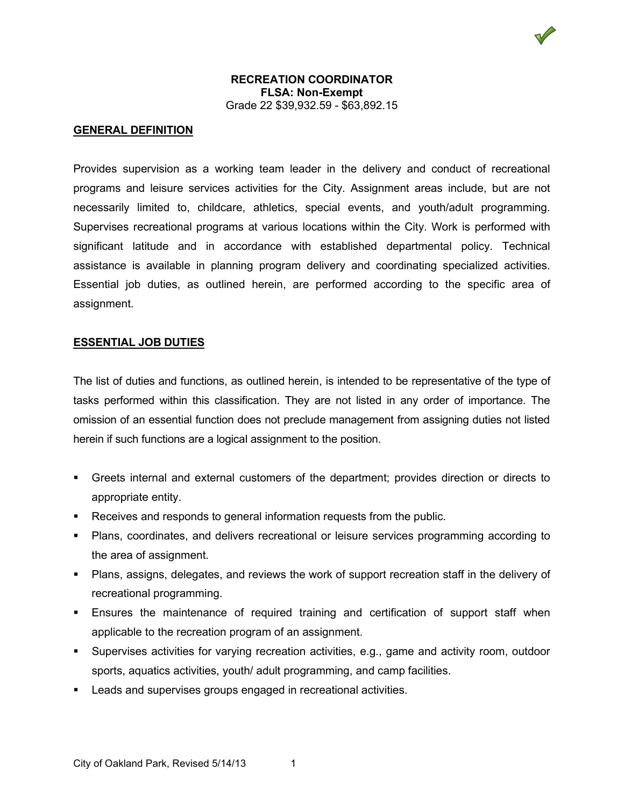# **GENERAL DEFINITION**

Provides supervision as a working team leader in the delivery and conduct of recreational programs and leisure services activities for the City. Assignment areas include, but are not necessarily limited to, childcare, athletics, special events, and youth/adult programming. Supervises recreational programs at various locations within the City. Work is performed with significant latitude and in accordance with established departmental policy. Technical assistance is available in planning program delivery and coordinating specialized activities. Essential job duties, as outlined herein, are performed according to the specific area of assignment.

#### **ESSENTIAL JOB DUTIES**

The list of duties and functions, as outlined herein, is intended to be representative of the type of tasks performed within this classification. They are not listed in any order of importance. The omission of an essential function does not preclude management from assigning duties not listed herein if such functions are a logical assignment to the position.

- Greets internal and external customers of the department; provides direction or directs to appropriate entity.
- **Receives and responds to general information requests from the public.**
- Plans, coordinates, and delivers recreational or leisure services programming according to the area of assignment.
- Plans, assigns, delegates, and reviews the work of support recreation staff in the delivery of recreational programming.
- Ensures the maintenance of required training and certification of support staff when applicable to the recreation program of an assignment.
- Supervises activities for varying recreation activities, e.g., game and activity room, outdoor sports, aquatics activities, youth/ adult programming, and camp facilities.
- **EXECT** Leads and supervises groups engaged in recreational activities.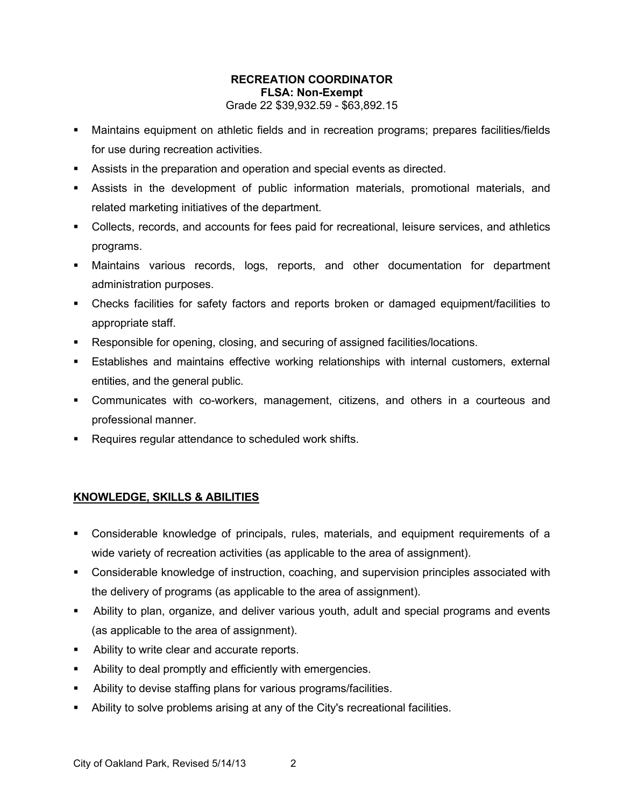- Maintains equipment on athletic fields and in recreation programs; prepares facilities/fields for use during recreation activities.
- Assists in the preparation and operation and special events as directed.
- Assists in the development of public information materials, promotional materials, and related marketing initiatives of the department.
- Collects, records, and accounts for fees paid for recreational, leisure services, and athletics programs.
- Maintains various records, logs, reports, and other documentation for department administration purposes.
- Checks facilities for safety factors and reports broken or damaged equipment/facilities to appropriate staff.
- Responsible for opening, closing, and securing of assigned facilities/locations.
- Establishes and maintains effective working relationships with internal customers, external entities, and the general public.
- Communicates with co-workers, management, citizens, and others in a courteous and professional manner.
- Requires regular attendance to scheduled work shifts.

# **KNOWLEDGE, SKILLS & ABILITIES**

- Considerable knowledge of principals, rules, materials, and equipment requirements of a wide variety of recreation activities (as applicable to the area of assignment).
- Considerable knowledge of instruction, coaching, and supervision principles associated with the delivery of programs (as applicable to the area of assignment).
- Ability to plan, organize, and deliver various youth, adult and special programs and events (as applicable to the area of assignment).
- Ability to write clear and accurate reports.
- Ability to deal promptly and efficiently with emergencies.
- Ability to devise staffing plans for various programs/facilities.
- Ability to solve problems arising at any of the City's recreational facilities.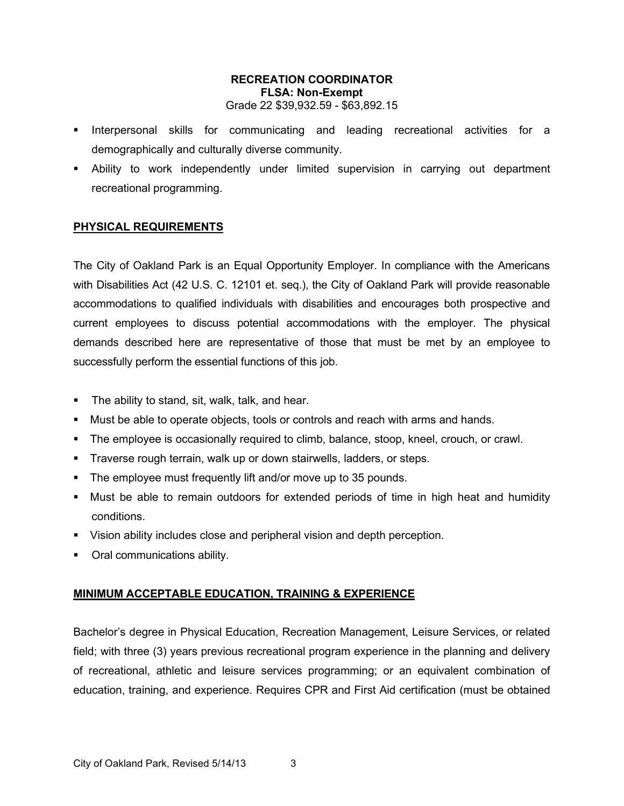- **Interpersonal skills for communicating and leading recreational activities for a** demographically and culturally diverse community.
- Ability to work independently under limited supervision in carrying out department recreational programming.

# **PHYSICAL REQUIREMENTS**

The City of Oakland Park is an Equal Opportunity Employer. In compliance with the Americans with Disabilities Act (42 U.S. C. 12101 et. seq.), the City of Oakland Park will provide reasonable accommodations to qualified individuals with disabilities and encourages both prospective and current employees to discuss potential accommodations with the employer. The physical demands described here are representative of those that must be met by an employee to successfully perform the essential functions of this job.

- **The ability to stand, sit, walk, talk, and hear.**
- **Must be able to operate objects, tools or controls and reach with arms and hands.**
- The employee is occasionally required to climb, balance, stoop, kneel, crouch, or crawl.
- **Traverse rough terrain, walk up or down stairwells, ladders, or steps.**
- **The employee must frequently lift and/or move up to 35 pounds.**
- Must be able to remain outdoors for extended periods of time in high heat and humidity conditions.
- Vision ability includes close and peripheral vision and depth perception.
- Oral communications ability.

# **MINIMUM ACCEPTABLE EDUCATION, TRAINING & EXPERIENCE**

Bachelor's degree in Physical Education, Recreation Management, Leisure Services, or related field; with three (3) years previous recreational program experience in the planning and delivery of recreational, athletic and leisure services programming; or an equivalent combination of education, training, and experience. Requires CPR and First Aid certification (must be obtained